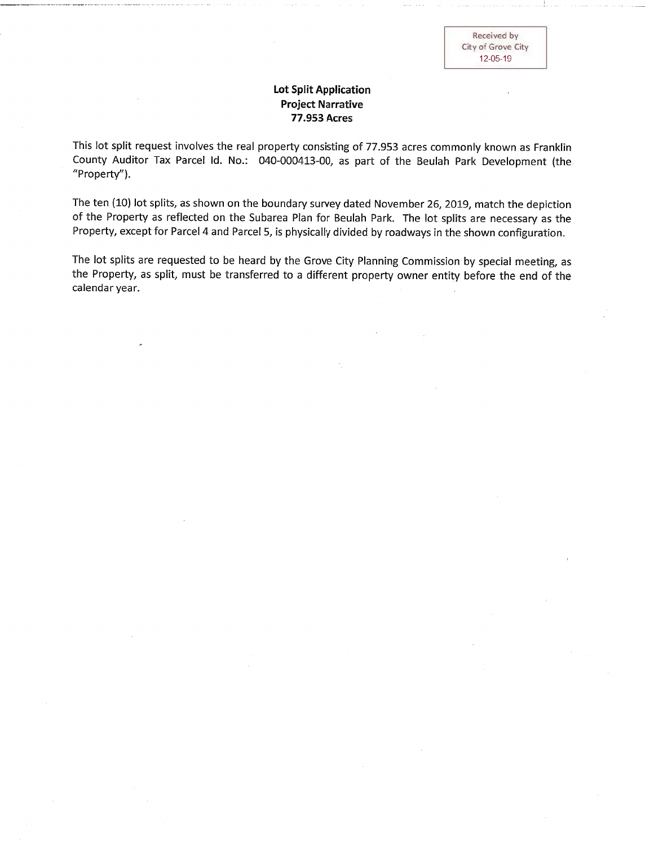## **Lot Split Application Project Narrative** 77.953 Acres

This lot split request involves the real property consisting of 77.953 acres commonly known as Franklin County Auditor Tax Parcel Id. No.: 040-000413-00, as part of the Beulah Park Development (the "Property").

The ten (10) lot splits, as shown on the boundary survey dated November 26, 2019, match the depiction of the Property as reflected on the Subarea Plan for Beulah Park. The lot splits are necessary as the Property, except for Parcel 4 and Parcel 5, is physically divided by roadways in the shown configuration.

The lot splits are requested to be heard by the Grove City Planning Commission by special meeting, as the Property, as split, must be transferred to a different property owner entity before the end of the calendar year.